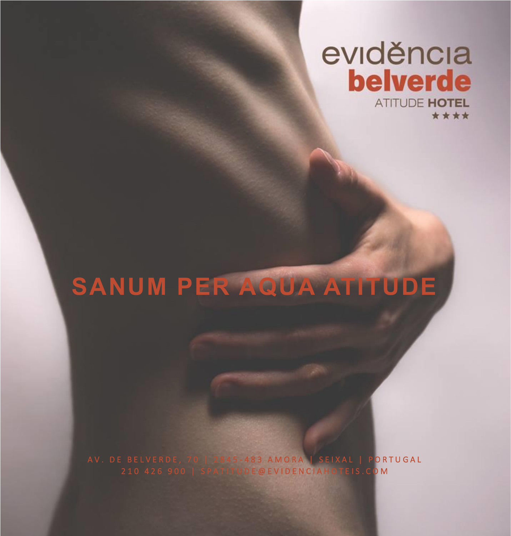# eviděncia **belverde ATITUDE HOTEL** \*\*\*\*

# **SANUM PER AQUA ATITUDE**

A V . DE BELVERDE, 70 | 2845-483 AMORA | SEIXAL | P**ORTUGAL** 210 426 900 | SPATITUDE@EVIDENCIAHOTEIS.COM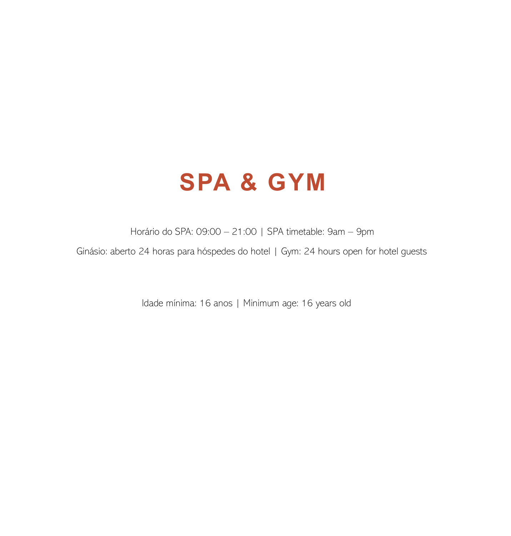# **SPA & GYM**

Horário do SPA: 09:00 – 21:00 | SPA timetable: 9am – 9pm

Ginásio: aberto 24 horas para hóspedes do hotel | Gym: 24 hours open for hotel guests

Idade mínima: 16 anos | Minimum age: 16 years old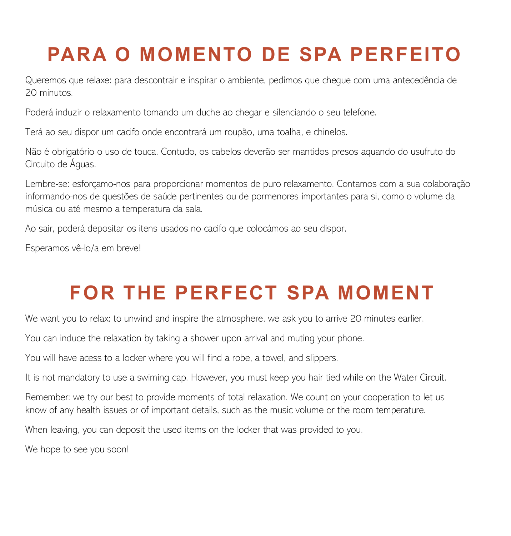# **PARA O MOMENTO DE SPA PERFEITO**

Queremos que relaxe: para descontrair e inspirar o ambiente, pedimos que chegue com uma antecedência de 20 minutos.

Poderá induzir o relaxamento tomando um duche ao chegar e silenciando o seu telefone.

Terá ao seu dispor um cacifo onde encontrará um roupão, uma toalha, e chinelos.

Não é obrigatório o uso de touca. Contudo, os cabelos deverão ser mantidos presos aquando do usufruto do Circuito de Águas.

Lembre-se: esforçamo-nos para proporcionar momentos de puro relaxamento. Contamos com a sua colaboração informando-nos de questões de saúde pertinentes ou de pormenores importantes para si, como o volume da música ou até mesmo a temperatura da sala.

Ao sair, poderá depositar os itens usados no cacifo que colocámos ao seu dispor.

Esperamos vê-lo/a em breve!

# **FOR THE PERFECT SPA MOMENT**

We want you to relax: to unwind and inspire the atmosphere, we ask you to arrive 20 minutes earlier.

You can induce the relaxation by taking a shower upon arrival and muting your phone.

You will have acess to a locker where you will find a robe, a towel, and slippers.

It is not mandatory to use a swiming cap. However, you must keep you hair tied while on the Water Circuit.

Remember: we try our best to provide moments of total relaxation. We count on your cooperation to let us know of any health issues or of important details, such as the music volume or the room temperature.

When leaving, you can deposit the used items on the locker that was provided to you.

We hope to see you soon!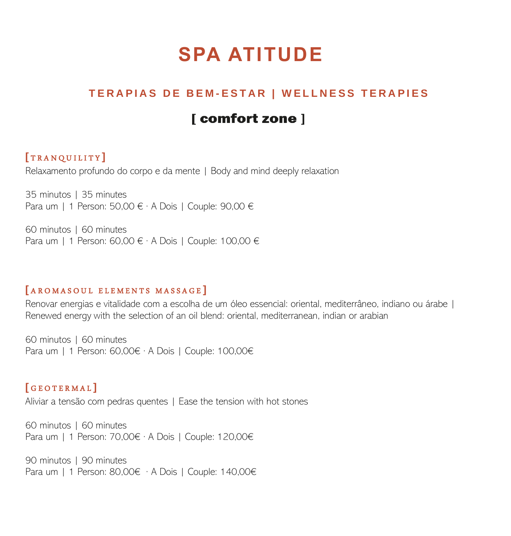# **SPA ATITUDE**

## **T E R A P I A S D E B E M - E S T A R | W E L L N E S S T E R A P I E S**

# **[** comfort zone ]

## **[** T R A N Q U I L I T Y **]**

Relaxamento profundo do corpo e da mente | Body and mind deeply relaxation

35 minutos | 35 minutes Para um | 1 Person: 50,00 € · A Dois | Couple: 90,00 €

60 minutos | 60 minutes Para um | 1 Person: 60,00 € · A Dois | Couple: 100,00 €

#### **[** A R O M A S O U L E L E M E N T S M A S S A G E **]**

Renovar energias e vitalidade com a escolha de um óleo essencial: oriental, mediterrâneo, indiano ou árabe | Renewed energy with the selection of an oil blend: oriental, mediterranean, indian or arabian

60 minutos | 60 minutes Para um | 1 Person: 60,00€ · A Dois | Couple: 100,00€

### **[** G E O T E R M A L **]**

Aliviar a tensão com pedras quentes | Ease the tension with hot stones

60 minutos | 60 minutes Para um | 1 Person: 70,00€ · A Dois | Couple: 120,00€

90 minutos | 90 minutes Para um | 1 Person: 80,00€ · A Dois | Couple: 140,00€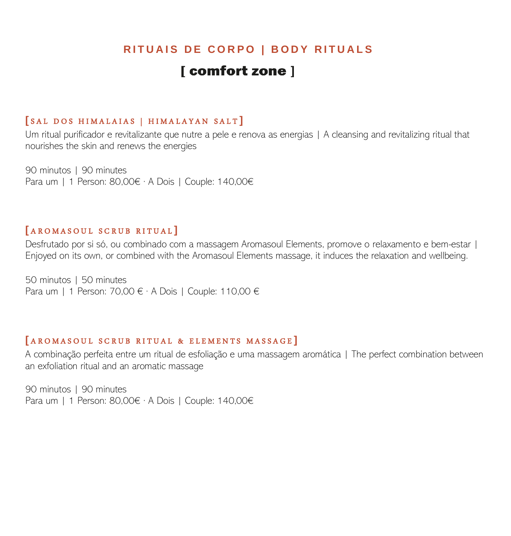## **RITUAIS DE CORPO | BODY RITUALS**

## [ comfort zone ]

#### **[** S A L D O S H I M A L A I A S | H I M A L A Y A N S A L T **]**

Um ritual purificador e revitalizante que nutre a pele e renova as energias | A cleansing and revitalizing ritual that nourishes the skin and renews the energies

90 minutos | 90 minutes Para um | 1 Person: 80,00€ · A Dois | Couple: 140,00€

#### **[** A R O M A S O U L S C R U B R I T U A L **]**

Desfrutado por si só, ou combinado com a massagem Aromasoul Elements, promove o relaxamento e bem-estar | Enjoyed on its own, or combined with the Aromasoul Elements massage, it induces the relaxation and wellbeing.

50 minutos | 50 minutes Para um | 1 Person: 70,00 € · A Dois | Couple: 110,00 €

#### **[** A R O M A S O U L S C R U B R I T U A L & E L E M E N T S M A S S A G E **]**

A combinação perfeita entre um ritual de esfoliação e uma massagem aromática | The perfect combination between an exfoliation ritual and an aromatic massage

90 minutos | 90 minutes Para um | 1 Person: 80,00€ · A Dois | Couple: 140,00€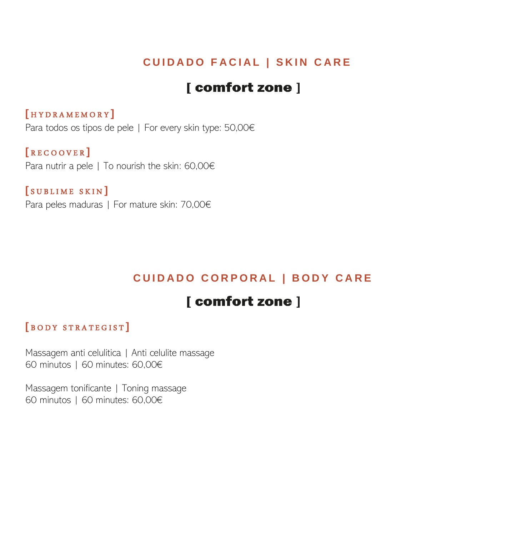## **C U I D A D O F A C I A L | S K I N C A R E**

# [ comfort zone ]

### **[** H Y D R A M E M O R Y **]**

Para todos os tipos de pele | For every skin type: 50,00€

### **[** R E C O O V E R **]**

Para nutrir a pele | To nourish the skin: 60,00€

**[** S U B L I M E S K I N **]** Para peles maduras | For mature skin: 70,00€

## **C U I D A D O C O R P O R A L | B O D Y C A R E**

# [ comfort zone ]

#### **[** B O D Y S T R A T E G I S T **]**

Massagem anti celulitica | Anti celulite massage 60 minutos | 60 minutes: 60,00€

Massagem tonificante | Toning massage 60 minutos | 60 minutes: 60,00€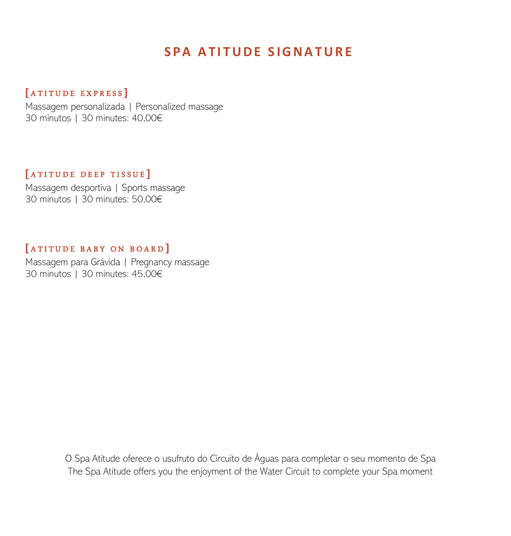# **SPA ATITUDE SIGNATURE**

### **[** A T I T U D E E X P R E S S **]**

Massagem personalizada | Personalized massage 30 minutos | 30 minutes: 40,00€

### **[** A T I T U D E D E E P T I S S U E **]**

Massagem desportiva | Sports massage 30 minutos | 30 minutes: 50,00€

### **[** A T I T U D E B A B Y O N B O A R D **]**

Massagem para Grávida | Pregnancy massage 30 minutos | 30 minutes: 45,00€

> O Spa Atitude oferece o usufruto do Circuito de Águas para completar o seu momento de Spa The Spa Atitude offers you the enjoyment of the Water Circuit to complete your Spa moment